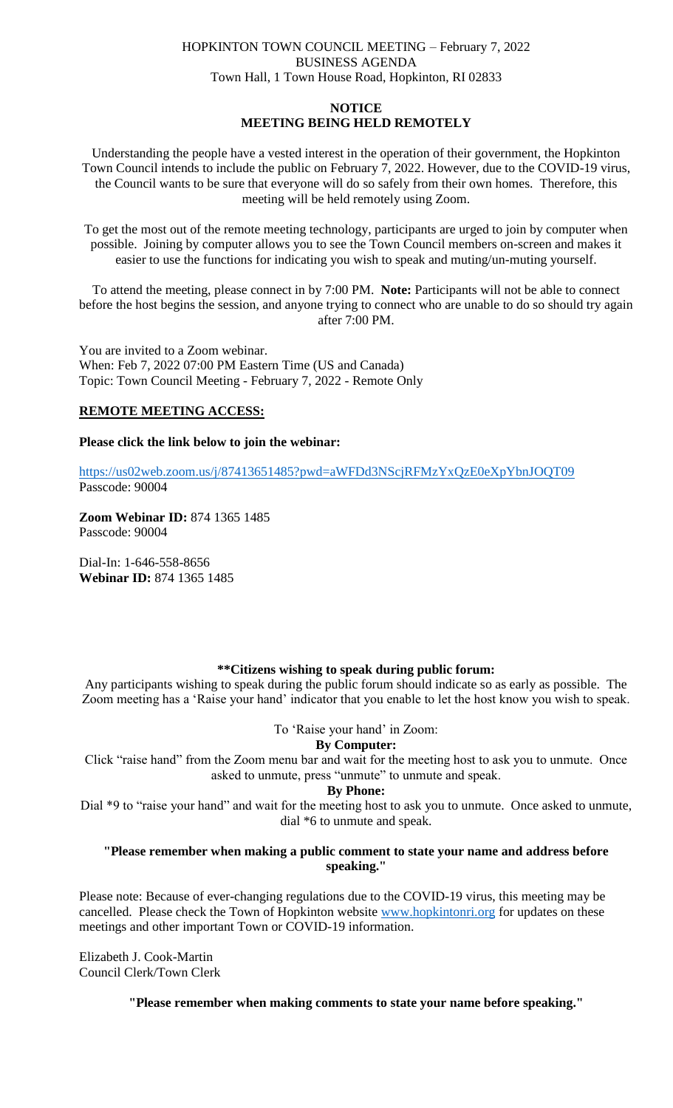## HOPKINTON TOWN COUNCIL MEETING – February 7, 2022 BUSINESS AGENDA Town Hall, 1 Town House Road, Hopkinton, RI 02833

# **NOTICE MEETING BEING HELD REMOTELY**

Understanding the people have a vested interest in the operation of their government, the Hopkinton Town Council intends to include the public on February 7, 2022. However, due to the COVID-19 virus, the Council wants to be sure that everyone will do so safely from their own homes. Therefore, this meeting will be held remotely using Zoom.

To get the most out of the remote meeting technology, participants are urged to join by computer when possible. Joining by computer allows you to see the Town Council members on-screen and makes it easier to use the functions for indicating you wish to speak and muting/un-muting yourself.

To attend the meeting, please connect in by 7:00 PM. **Note:** Participants will not be able to connect before the host begins the session, and anyone trying to connect who are unable to do so should try again after 7:00 PM.

You are invited to a Zoom webinar. When: Feb 7, 2022 07:00 PM Eastern Time (US and Canada) Topic: Town Council Meeting - February 7, 2022 - Remote Only

## **REMOTE MEETING ACCESS:**

## **Please click the link below to join the webinar:**

<https://us02web.zoom.us/j/87413651485?pwd=aWFDd3NScjRFMzYxQzE0eXpYbnJOQT09> Passcode: 90004

**Zoom Webinar ID:** 874 1365 1485 Passcode: 90004

Dial-In: 1-646-558-8656 **Webinar ID:** 874 1365 1485

## **\*\*Citizens wishing to speak during public forum:**

Any participants wishing to speak during the public forum should indicate so as early as possible. The Zoom meeting has a 'Raise your hand' indicator that you enable to let the host know you wish to speak.

To 'Raise your hand' in Zoom:

## **By Computer:**

Click "raise hand" from the Zoom menu bar and wait for the meeting host to ask you to unmute. Once asked to unmute, press "unmute" to unmute and speak.

#### **By Phone:**

Dial \*9 to "raise your hand" and wait for the meeting host to ask you to unmute. Once asked to unmute, dial \*6 to unmute and speak.

## **"Please remember when making a public comment to state your name and address before speaking."**

Please note: Because of ever-changing regulations due to the COVID-19 virus, this meeting may be cancelled. Please check the Town of Hopkinton website [www.hopkintonri.org](http://www.hopkintonri.org/) for updates on these meetings and other important Town or COVID-19 information.

Elizabeth J. Cook-Martin Council Clerk/Town Clerk

**"Please remember when making comments to state your name before speaking."**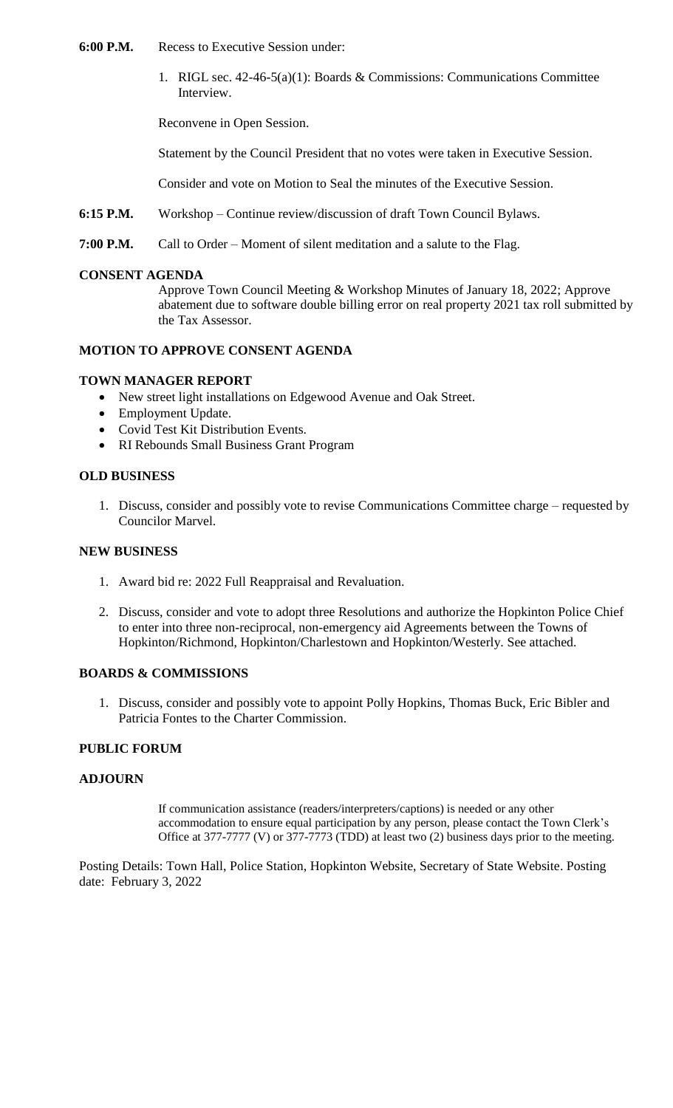- **6:00 P.M.** Recess to Executive Session under:
	- 1. RIGL sec. 42-46-5(a)(1): Boards & Commissions: Communications Committee Interview.

Reconvene in Open Session.

Statement by the Council President that no votes were taken in Executive Session.

Consider and vote on Motion to Seal the minutes of the Executive Session.

- **6:15 P.M.** Workshop Continue review/discussion of draft Town Council Bylaws.
- **7:00 P.M.** Call to Order Moment of silent meditation and a salute to the Flag.

#### **CONSENT AGENDA**

Approve Town Council Meeting & Workshop Minutes of January 18, 2022; Approve abatement due to software double billing error on real property 2021 tax roll submitted by the Tax Assessor.

#### **MOTION TO APPROVE CONSENT AGENDA**

#### **TOWN MANAGER REPORT**

- New street light installations on Edgewood Avenue and Oak Street.
- Employment Update.
- Covid Test Kit Distribution Events.
- RI Rebounds Small Business Grant Program

#### **OLD BUSINESS**

1. Discuss, consider and possibly vote to revise Communications Committee charge – requested by Councilor Marvel.

## **NEW BUSINESS**

- 1. Award bid re: 2022 Full Reappraisal and Revaluation.
- 2. Discuss, consider and vote to adopt three Resolutions and authorize the Hopkinton Police Chief to enter into three non-reciprocal, non-emergency aid Agreements between the Towns of Hopkinton/Richmond, Hopkinton/Charlestown and Hopkinton/Westerly. See attached.

## **BOARDS & COMMISSIONS**

1. Discuss, consider and possibly vote to appoint Polly Hopkins, Thomas Buck, Eric Bibler and Patricia Fontes to the Charter Commission.

#### **PUBLIC FORUM**

#### **ADJOURN**

If communication assistance (readers/interpreters/captions) is needed or any other accommodation to ensure equal participation by any person, please contact the Town Clerk's Office at 377-7777 (V) or 377-7773 (TDD) at least two (2) business days prior to the meeting.

Posting Details: Town Hall, Police Station, Hopkinton Website, Secretary of State Website. Posting date: February 3, 2022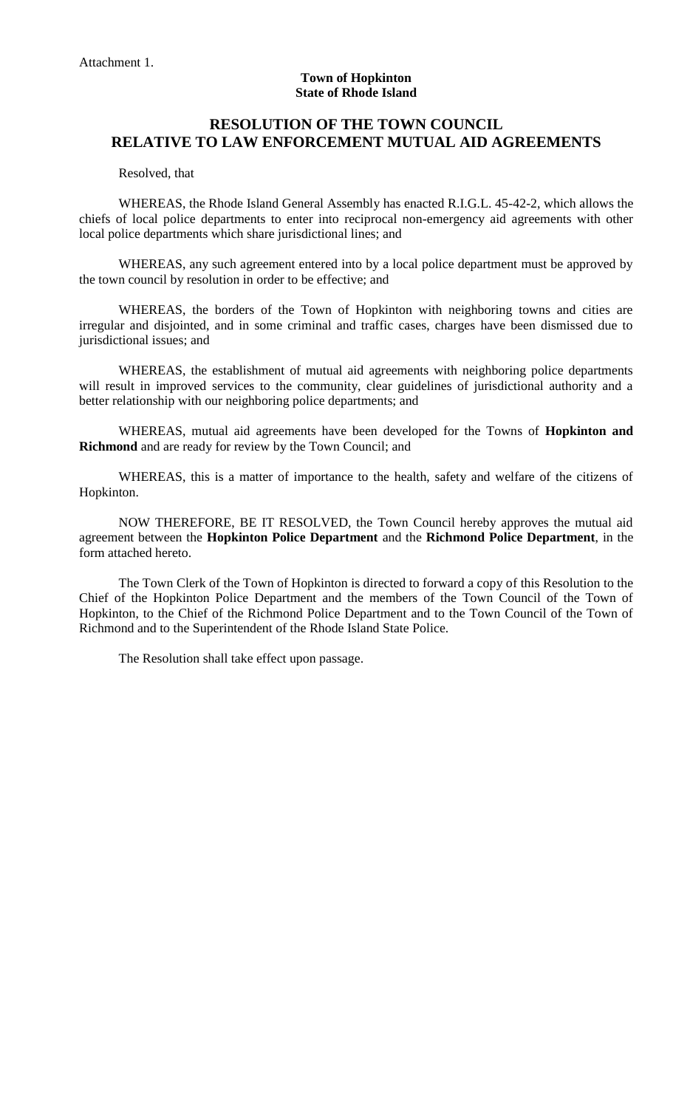#### **Town of Hopkinton State of Rhode Island**

# **RESOLUTION OF THE TOWN COUNCIL RELATIVE TO LAW ENFORCEMENT MUTUAL AID AGREEMENTS**

Resolved, that

WHEREAS, the Rhode Island General Assembly has enacted R.I.G.L. 45-42-2, which allows the chiefs of local police departments to enter into reciprocal non-emergency aid agreements with other local police departments which share jurisdictional lines; and

WHEREAS, any such agreement entered into by a local police department must be approved by the town council by resolution in order to be effective; and

WHEREAS, the borders of the Town of Hopkinton with neighboring towns and cities are irregular and disjointed, and in some criminal and traffic cases, charges have been dismissed due to jurisdictional issues; and

WHEREAS, the establishment of mutual aid agreements with neighboring police departments will result in improved services to the community, clear guidelines of jurisdictional authority and a better relationship with our neighboring police departments; and

WHEREAS, mutual aid agreements have been developed for the Towns of **Hopkinton and Richmond** and are ready for review by the Town Council; and

WHEREAS, this is a matter of importance to the health, safety and welfare of the citizens of Hopkinton.

NOW THEREFORE, BE IT RESOLVED, the Town Council hereby approves the mutual aid agreement between the **Hopkinton Police Department** and the **Richmond Police Department**, in the form attached hereto.

The Town Clerk of the Town of Hopkinton is directed to forward a copy of this Resolution to the Chief of the Hopkinton Police Department and the members of the Town Council of the Town of Hopkinton, to the Chief of the Richmond Police Department and to the Town Council of the Town of Richmond and to the Superintendent of the Rhode Island State Police.

The Resolution shall take effect upon passage.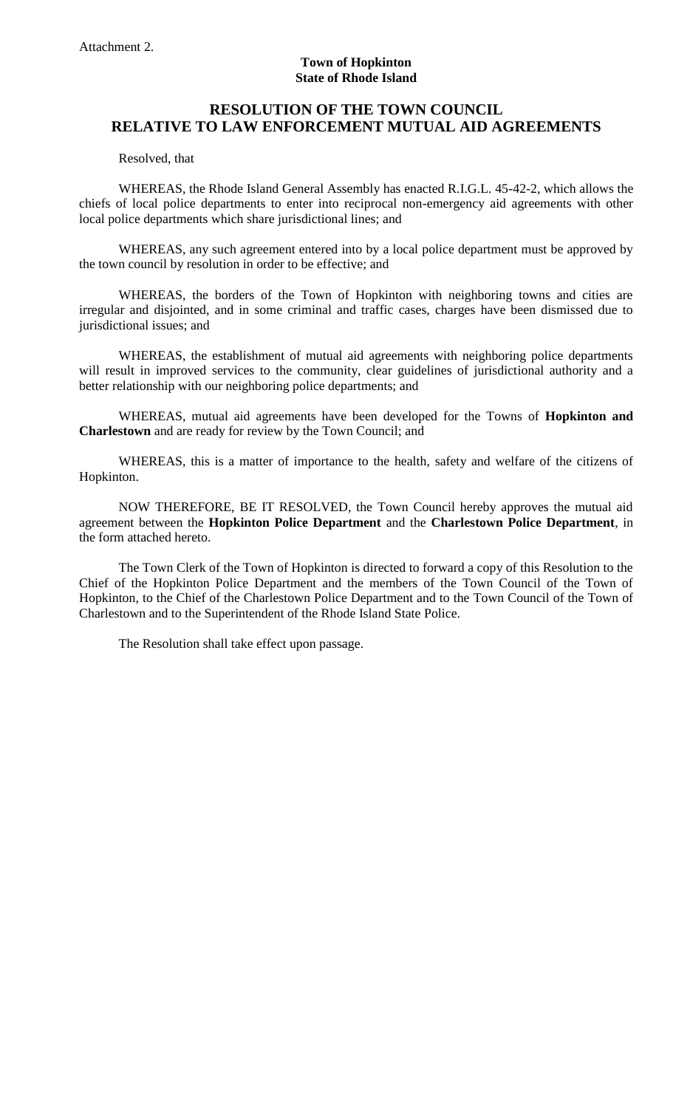## **Town of Hopkinton State of Rhode Island**

# **RESOLUTION OF THE TOWN COUNCIL RELATIVE TO LAW ENFORCEMENT MUTUAL AID AGREEMENTS**

Resolved, that

WHEREAS, the Rhode Island General Assembly has enacted R.I.G.L. 45-42-2, which allows the chiefs of local police departments to enter into reciprocal non-emergency aid agreements with other local police departments which share jurisdictional lines; and

WHEREAS, any such agreement entered into by a local police department must be approved by the town council by resolution in order to be effective; and

WHEREAS, the borders of the Town of Hopkinton with neighboring towns and cities are irregular and disjointed, and in some criminal and traffic cases, charges have been dismissed due to jurisdictional issues; and

WHEREAS, the establishment of mutual aid agreements with neighboring police departments will result in improved services to the community, clear guidelines of jurisdictional authority and a better relationship with our neighboring police departments; and

WHEREAS, mutual aid agreements have been developed for the Towns of **Hopkinton and Charlestown** and are ready for review by the Town Council; and

WHEREAS, this is a matter of importance to the health, safety and welfare of the citizens of Hopkinton.

NOW THEREFORE, BE IT RESOLVED, the Town Council hereby approves the mutual aid agreement between the **Hopkinton Police Department** and the **Charlestown Police Department**, in the form attached hereto.

The Town Clerk of the Town of Hopkinton is directed to forward a copy of this Resolution to the Chief of the Hopkinton Police Department and the members of the Town Council of the Town of Hopkinton, to the Chief of the Charlestown Police Department and to the Town Council of the Town of Charlestown and to the Superintendent of the Rhode Island State Police.

The Resolution shall take effect upon passage.